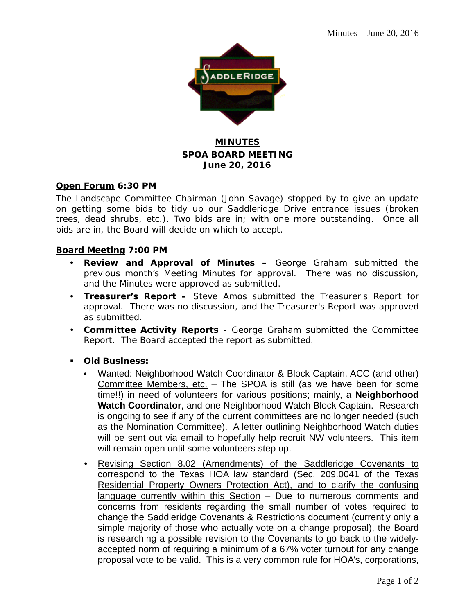

## **MINUTES SPOA BOARD MEETING June 20, 2016**

### **Open Forum 6:30 PM**

The Landscape Committee Chairman (John Savage) stopped by to give an update on getting some bids to tidy up our Saddleridge Drive entrance issues (broken trees, dead shrubs, etc.). Two bids are in; with one more outstanding. Once all bids are in, the Board will decide on which to accept.

### **Board Meeting 7:00 PM**

- **Review and Approval of Minutes –** George Graham submitted the previous month's Meeting Minutes for approval. There was no discussion, and the Minutes were approved as submitted.
- **Treasurer's Report –** Steve Amos submitted the Treasurer's Report for approval. There was no discussion, and the Treasurer's Report was approved as submitted.
- **Committee Activity Reports -** George Graham submitted the Committee Report. The Board accepted the report as submitted.
- **Old Business:**
	- Wanted: Neighborhood Watch Coordinator & Block Captain, ACC (and other) Committee Members, etc. – The SPOA is still (as we have been for some time!!) in need of volunteers for various positions; mainly, a **Neighborhood Watch Coordinator**, and one Neighborhood Watch Block Captain. Research is ongoing to see if any of the current committees are no longer needed (such as the Nomination Committee). A letter outlining Neighborhood Watch duties will be sent out via email to hopefully help recruit NW volunteers. This item will remain open until some volunteers step up.
	- Revising Section 8.02 (Amendments) of the Saddleridge Covenants to correspond to the Texas HOA law standard (Sec. 209.0041 of the Texas Residential Property Owners Protection Act), and to clarify the confusing language currently within this Section – Due to numerous comments and concerns from residents regarding the small number of votes required to change the Saddleridge Covenants & Restrictions document (currently only a simple majority of those who actually vote on a change proposal), the Board is researching a possible revision to the Covenants to go back to the widelyaccepted norm of requiring a minimum of a 67% voter turnout for any change proposal vote to be valid. This is a very common rule for HOA's, corporations,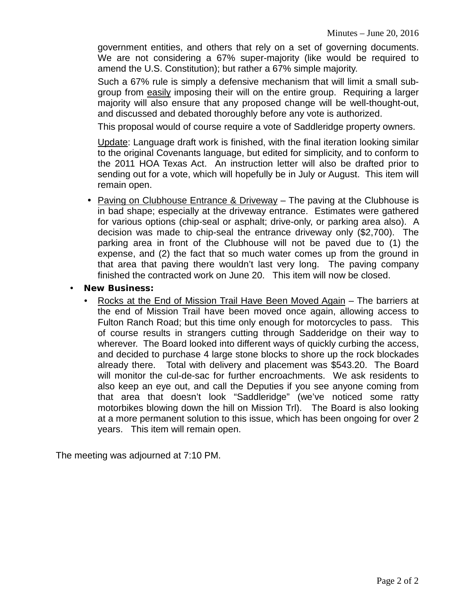government entities, and others that rely on a set of governing documents. We are not considering a 67% super-majority (like would be required to amend the U.S. Constitution); but rather a 67% simple majority.

Such a 67% rule is simply a defensive mechanism that will limit a small subgroup from easily imposing their will on the entire group. Requiring a larger majority will also ensure that any proposed change will be well-thought-out, and discussed and debated thoroughly before any vote is authorized.

This proposal would of course require a vote of Saddleridge property owners.

Update: Language draft work is finished, with the final iteration looking similar to the original Covenants language, but edited for simplicity, and to conform to the 2011 HOA Texas Act. An instruction letter will also be drafted prior to sending out for a vote, which will hopefully be in July or August. This item will remain open.

- Paving on Clubhouse Entrance & Driveway The paving at the Clubhouse is in bad shape; especially at the driveway entrance. Estimates were gathered for various options (chip-seal or asphalt; drive-only, or parking area also). A decision was made to chip-seal the entrance driveway only (\$2,700). The parking area in front of the Clubhouse will not be paved due to (1) the expense, and (2) the fact that so much water comes up from the ground in that area that paving there wouldn't last very long. The paving company finished the contracted work on June 20. This item will now be closed.
- **New Business:**
	- Rocks at the End of Mission Trail Have Been Moved Again The barriers at the end of Mission Trail have been moved once again, allowing access to Fulton Ranch Road; but this time only enough for motorcycles to pass. This of course results in strangers cutting through Sadderidge on their way to wherever. The Board looked into different ways of quickly curbing the access, and decided to purchase 4 large stone blocks to shore up the rock blockades already there. Total with delivery and placement was \$543.20. The Board will monitor the cul-de-sac for further encroachments. We ask residents to also keep an eye out, and call the Deputies if you see anyone coming from that area that doesn't look "Saddleridge" (we've noticed some ratty motorbikes blowing down the hill on Mission Trl). The Board is also looking at a more permanent solution to this issue, which has been ongoing for over 2 years. This item will remain open.

The meeting was adjourned at 7:10 PM.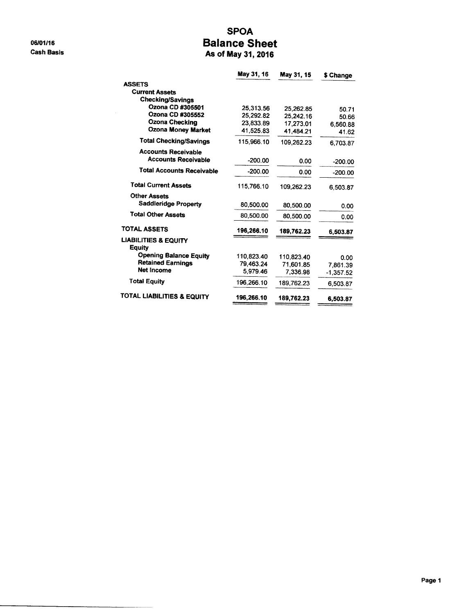06/01/16 **Cash Basis** 

### **SPOA Balance Sheet** As of May 31, 2016

|                                                  | May 31, 16 | May 31, 15 | \$ Change   |
|--------------------------------------------------|------------|------------|-------------|
| <b>ASSETS</b>                                    |            |            |             |
| <b>Current Assets</b>                            |            |            |             |
| <b>Checking/Savings</b>                          |            |            |             |
| Ozona CD #305501                                 | 25,313.56  | 25,262.85  | 50.71       |
| Ozona CD #305552                                 | 25,292.82  | 25,242.16  | 50.66       |
| <b>Ozona Checking</b>                            | 23,833.89  | 17,273.01  | 6,560.88    |
| <b>Ozona Money Market</b>                        | 41,525.83  | 41.484.21  | 41.62       |
| <b>Total Checking/Savings</b>                    | 115,966.10 | 109,262.23 | 6,703.87    |
| <b>Accounts Receivable</b>                       |            |            |             |
| <b>Accounts Receivable</b>                       | $-200.00$  | 0.00       | -200.00     |
| <b>Total Accounts Receivable</b>                 | $-200.00$  | 0.00       | $-200.00$   |
| <b>Total Current Assets</b>                      | 115,766.10 | 109.262.23 | 6.503.87    |
| <b>Other Assets</b>                              |            |            |             |
| <b>Saddleridge Property</b>                      | 80,500.00  | 80,500.00  | 0.00        |
| <b>Total Other Assets</b>                        | 80.500.00  | 80,500.00  | 0.00        |
| <b>TOTAL ASSETS</b>                              | 196,266.10 | 189,762.23 | 6,503.87    |
| <b>LIABILITIES &amp; EQUITY</b><br><b>Equity</b> |            |            |             |
| <b>Opening Balance Equity</b>                    | 110,823.40 | 110.823.40 | 0.00        |
| <b>Retained Earnings</b>                         | 79.463.24  | 71,601.85  | 7,861.39    |
| <b>Net Income</b>                                | 5,979.46   | 7.336.98   | $-1,357.52$ |
| <b>Total Equity</b>                              | 196.266.10 | 189.762.23 | 6.503.87    |
| <b>TOTAL LIABILITIES &amp; EQUITY</b>            | 196,266.10 | 189.762.23 | 6,503.87    |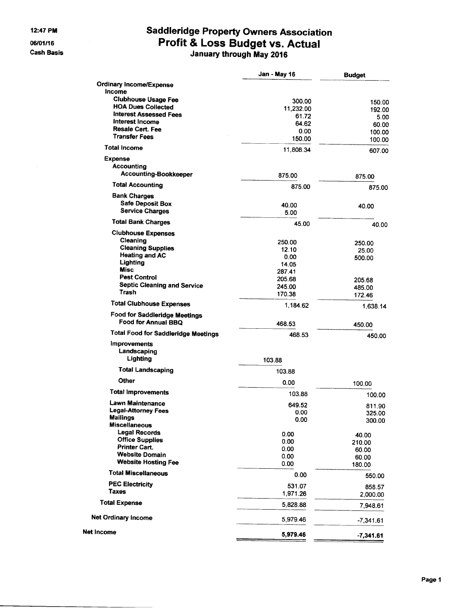#### 12:47 PM

06/01/16 **Cash Basis** 

 $\hat{\mathcal{A}}$ 

# Saddleridge Property Owners Association<br>Profit & Loss Budget vs. Actual<br>January through May 2016

|                                                             | Jan - May 16   | <b>Budget</b>   |
|-------------------------------------------------------------|----------------|-----------------|
| <b>Ordinary Income/Expense</b>                              |                |                 |
| Income                                                      |                |                 |
| <b>Clubhouse Usage Fee</b><br><b>HOA Dues Collected</b>     | 300.00         | 150.00          |
| <b>Interest Assessed Fees</b>                               | 11,232.00      | 192.00          |
| Interest Income                                             | 61.72<br>64.62 | 5.00            |
| <b>Resale Cert. Fee</b>                                     | 0.00           | 60.00<br>100.00 |
| <b>Transfer Fees</b>                                        | 150.00         | 100.00          |
| <b>Total Income</b>                                         | 11,808.34      | 607.00          |
| <b>Expense</b>                                              |                |                 |
| Accounting                                                  |                |                 |
| <b>Accounting-Bookkeeper</b>                                | 875.00         | 875.00          |
| <b>Total Accounting</b>                                     | 875.00         | 875.00          |
| <b>Bank Charges</b>                                         |                |                 |
| <b>Safe Deposit Box</b>                                     | 40.00          | 40.00           |
| <b>Service Charges</b>                                      | 5.00           |                 |
| <b>Total Bank Charges</b>                                   | 45.00          | 40.00           |
| <b>Clubhouse Expenses</b>                                   |                |                 |
| Cleaning<br><b>Cleaning Supplies</b>                        | 250.00         | 250.00          |
| <b>Heating and AC</b>                                       | 12.10          | 25.00           |
| Lighting                                                    | 0.00<br>14.05  | 500.00          |
| <b>Misc</b>                                                 | 287.41         |                 |
| <b>Pest Control</b>                                         | 205.68         | 205.68          |
| <b>Septic Cleaning and Service</b>                          | 245.00         | 485.00          |
| Trash                                                       | 170.38         | 172.46          |
| <b>Total Clubhouse Expenses</b>                             | 1,184.62       | 1,638.14        |
| <b>Food for Saddleridge Meetings</b><br>Food for Annual BBQ | 468.53         | 450.00          |
| <b>Total Food for Saddleridge Meetings</b>                  | 468.53         | 450.00          |
| Improvements                                                |                |                 |
| Landscaping<br>Lighting                                     | 103.88         |                 |
| <b>Total Landscaping</b>                                    | 103.88         |                 |
| Other                                                       |                |                 |
|                                                             | 0.00           | 100.00          |
| <b>Total Improvements</b>                                   | 103.88         | 100.00          |
| Lawn Maintenance                                            | 649.52         | 811.90          |
| Legal-Attorney Fees<br><b>Mailings</b>                      | 0.00           | 325.00          |
| <b>Miscellaneous</b>                                        | 0.00           | 300.00          |
| <b>Legal Records</b>                                        | 0.00           | 40.00           |
| <b>Office Supplies</b>                                      | 0.00           | 210.00          |
| <b>Printer Cart.</b>                                        | 0.00           | 60.00           |
| <b>Website Domain</b>                                       | 0.00           | 60.00           |
| <b>Website Hosting Fee</b>                                  | 0.00           | 180.00          |
| <b>Total Miscellaneous</b>                                  | 0.00           | 550.00          |
| <b>PEC Electricity</b>                                      | 531.07         | 858.57          |
| Taxes                                                       | 1,971.26       | 2,000.00        |
| <b>Total Expense</b>                                        | 5,828.88       | 7,948.61        |
| <b>Net Ordinary Income</b>                                  | 5,979.46       | $-7,341.61$     |
| <b>Net Income</b>                                           | 5,979.46       |                 |
|                                                             |                | $-7,341.61$     |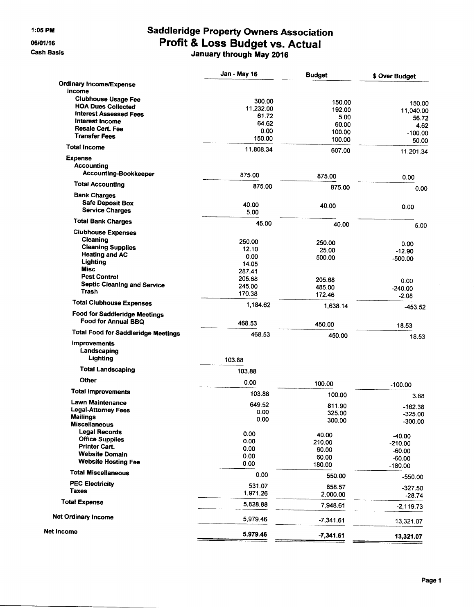1:05 PM

06/01/16

**Cash Basis** 

# **Saddleridge Property Owners Association** Profit & Loss Budget vs. Actual

|                                                      | Jan - May 16 | <b>Budget</b>    | \$ Over Budget       |
|------------------------------------------------------|--------------|------------------|----------------------|
| <b>Ordinary Income/Expense</b>                       |              |                  |                      |
| Income                                               |              |                  |                      |
| <b>Clubhouse Usage Fee</b>                           | 300.00       | 150.00           | 150.00               |
| <b>HOA Dues Collected</b>                            | 11,232.00    | 192.00           | 11,040.00            |
| <b>Interest Assessed Fees</b>                        | 61.72        | 5.00             | 56.72                |
| Interest Income                                      | 64.62        | 60.00            | 4.62                 |
| <b>Resale Cert. Fee</b>                              | 0.00         | 100.00           | $-100.00$            |
| <b>Transfer Fees</b>                                 | 150.00       | 100.00           | 50.00                |
| <b>Total Income</b>                                  | 11.808.34    | 607.00           | 11,201.34            |
| <b>Expense</b>                                       |              |                  |                      |
| <b>Accounting</b>                                    |              |                  |                      |
| <b>Accounting-Bookkeeper</b>                         | 875.00       | 875.00           | 0.00                 |
| <b>Total Accounting</b>                              | 875.00       | 875.00           | 0.00                 |
| <b>Bank Charges</b>                                  |              |                  |                      |
| <b>Safe Deposit Box</b>                              | 40.00        | 40.00            | 0.00                 |
| <b>Service Charges</b>                               | 5.00         |                  |                      |
| <b>Total Bank Charges</b>                            | 45.00        | 40.00            | 5.00                 |
| <b>Clubhouse Expenses</b>                            |              |                  |                      |
| Cleaning                                             | 250.00       | 250.00           | 0.00                 |
| <b>Cleaning Supplies</b>                             | 12.10        | 25.00            | $-12.90$             |
| <b>Heating and AC</b>                                | 0.00         | 500.00           | $-500.00$            |
| Lighting                                             | 14.05        |                  |                      |
| <b>Misc</b>                                          | 287.41       |                  |                      |
| <b>Pest Control</b>                                  | 205.68       | 205.68           | 0.00                 |
| <b>Septic Cleaning and Service</b>                   | 245.00       | 485.00           | $-240.00$            |
| Trash                                                | 170.38       | 172.46           | $-2.08$              |
| <b>Total Clubhouse Expenses</b>                      | 1,184.62     | 1,638.14         | $-453.52$            |
| Food for Saddleridge Meetings<br>Food for Annual BBQ | 468.53       | 450.00           | 18.53                |
| <b>Total Food for Saddleridge Meetings</b>           | 468.53       | 450.00           | 18.53                |
| <b>Improvements</b>                                  |              |                  |                      |
| Landscaping                                          |              |                  |                      |
| Lighting                                             | 103.88       |                  |                      |
| <b>Total Landscaping</b>                             | 103.88       |                  |                      |
| <b>Other</b>                                         | 0.00         | 100.00           | $-100.00$            |
| <b>Total Improvements</b>                            | 103.88       | 100.00           |                      |
| Lawn Maintenance                                     | 649.52       |                  | 3.88                 |
| <b>Legal-Attorney Fees</b>                           | 0.00         | 811.90           | $-162.38$            |
| <b>Mailings</b>                                      | 0.00         | 325.00<br>300.00 | $-325.00$            |
| <b>Miscellaneous</b>                                 |              |                  | $-300.00$            |
| <b>Legal Records</b>                                 | 0.00         | 40.00            |                      |
| <b>Office Supplies</b>                               | 0.00         | 210.00           | $-40.00$             |
| <b>Printer Cart.</b>                                 | 0.00         | 60.00            | $-210.00$            |
| <b>Website Domain</b>                                | 0.00         | 60.00            | $-60.00$<br>$-60.00$ |
| <b>Website Hosting Fee</b>                           | 0.00         | 180.00           | $-180.00$            |
| <b>Total Miscellaneous</b>                           | 0.00         | 550.00           | $-550.00$            |
| <b>PEC Electricity</b>                               | 531.07       | 858.57           | $-327.50$            |
| Taxes                                                | 1,971.26     | 2,000.00         | $-28.74$             |
| <b>Total Expense</b>                                 | 5,828.88     | 7,948.61         | $-2,119.73$          |
| <b>Net Ordinary Income</b>                           | 5,979.46     | $-7,341.61$      | 13,321.07            |
| Net Income                                           | 5,979.46     | $-7,341.61$      | 13,321.07            |
|                                                      |              |                  |                      |